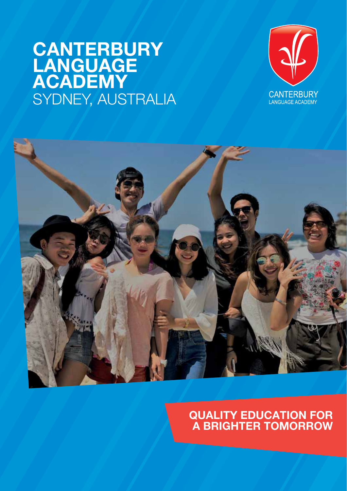# **CANTERBURY LANGUAGE ACADEMY** SYDNEY, AUSTRALIA





**QUALITY EDUCATION FOR A BRIGHTER TOMORROW**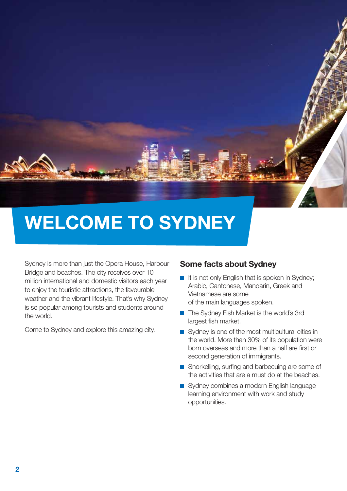

# **WELCOME TO SYDNEY WELCOME TO SYDNEY**

Sydney is more than just the Opera House, Harbour Bridge and beaches. The city receives over 10 million international and domestic visitors each year to enjoy the touristic attractions, the favourable weather and the vibrant lifestyle. That's why Sydney is so popular among tourists and students around the world.

Come to Sydney and explore this amazing city.

### **Some facts about Sydney**

- $\blacksquare$  It is not only English that is spoken in Sydney; Arabic, Cantonese, Mandarin, Greek and Vietnamese are some of the main languages spoken.
- The Sydney Fish Market is the world's 3rd largest fish market.
- Sydney is one of the most multicultural cities in the world. More than 30% of its population were born overseas and more than a half are first or second generation of immigrants.
- $\blacksquare$  Snorkelling, surfing and barbecuing are some of the activities that are a must do at the beaches.
- Sydney combines a modern English language learning environment with work and study opportunities.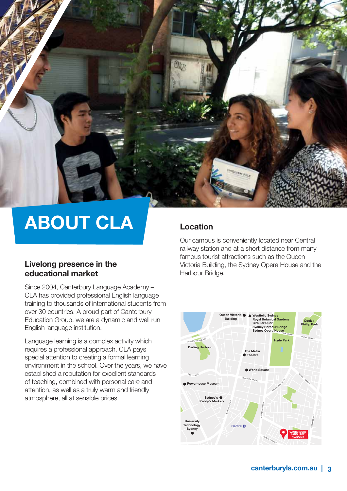

# **ABOUT CLA**

### **Livelong presence in the educational market**

Since 2004, Canterbury Language Academy – CLA has provided professional English language training to thousands of international students from over 30 countries. A proud part of Canterbury Education Group, we are a dynamic and well run English language institution.

Language learning is a complex activity which requires a professional approach. CLA pays special attention to creating a formal learning environment in the school. Over the years, we have established a reputation for excellent standards of teaching, combined with personal care and attention, as well as a truly warm and friendly atmosphere, all at sensible prices.

### **Location**

Our campus is conveniently located near Central railway station and at a short distance from many famous tourist attractions such as the Queen Victoria Building, the Sydney Opera House and the Harbour Bridge.

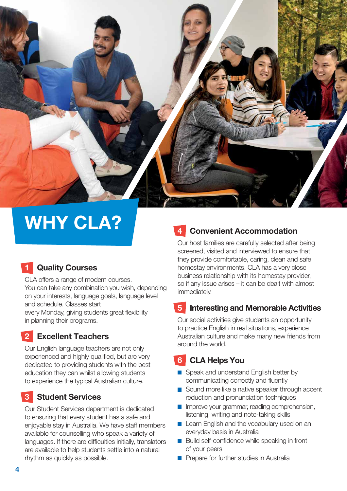

# **WHY CLA?** 4 Convenient Accommodation

### **1 Quality Courses**

CLA offers a range of modern courses. You can take any combination you wish, depending on your interests, language goals, language level and schedule. Classes start

every Monday, giving students great flexibility in planning their programs.

## **2 Excellent Teachers**

Our English language teachers are not only experienced and highly qualified, but are very dedicated to providing students with the best education they can whilst allowing students to experience the typical Australian culture.

### **3 Student Services**

Our Student Services department is dedicated to ensuring that every student has a safe and enjoyable stay in Australia. We have staff members available for counselling who speak a variety of languages. If there are difficulties initially, translators are available to help students settle into a natural rhythm as quickly as possible.

Our host families are carefully selected after being screened, visited and interviewed to ensure that they provide comfortable, caring, clean and safe homestay environments. CLA has a very close business relationship with its homestay provider, so if any issue arises – it can be dealt with almost immediately.

### **5 Interesting and Memorable Activities**

Our social activities give students an opportunity to practice English in real situations, experience Australian culture and make many new friends from around the world.

### **6 CLA Helps You**

- Speak and understand English better by communicating correctly and fluently
- Sound more like a native speaker through accent reduction and pronunciation techniques
- **Improve your grammar, reading comprehension,** listening, writing and note-taking skills
- **Learn English and the vocabulary used on an** everyday basis in Australia
- $\blacksquare$  Build self-confidence while speaking in front of your peers
- **Prepare for further studies in Australia**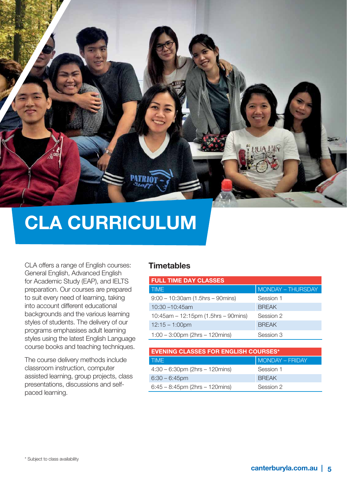

# **CLA CURRICULUM**

CLA offers a range of English courses: General English, Advanced English for Academic Study (EAP), and IELTS preparation. Our courses are prepared to suit every need of learning, taking into account different educational backgrounds and the various learning styles of students. The delivery of our programs emphasises adult learning styles using the latest English Language course books and teaching techniques.

The course delivery methods include classroom instruction, computer assisted learning, group projects, class presentations, discussions and selfpaced learning.

### **Timetables**

| <b>FULL TIME DAY CLASSES</b>            |                          |
|-----------------------------------------|--------------------------|
| <b>TIME</b>                             | <b>MONDAY - THURSDAY</b> |
| $9:00 - 10:30$ am (1.5hrs - 90mins)     | Session 1                |
| $10:30 - 10:45$ am                      | <b>BRFAK</b>             |
| 10:45am $-$ 12:15pm (1.5hrs $-$ 90mins) | Session 2                |
| $12:15 - 1:00$ pm                       | <b>BREAK</b>             |
| $1:00 - 3:00$ pm (2hrs - 120mins)       | Session 3                |

| <b>EVENING CLASSES FOR ENGLISH COURSES*</b> |                 |
|---------------------------------------------|-----------------|
| TIME.                                       | MONDAY - FRIDAY |
| $4:30 - 6:30$ pm (2hrs $- 120$ mins)        | Session 1       |
| $6:30 - 6:45$ pm                            | <b>BREAK</b>    |
| $6:45 - 8:45$ pm (2hrs - 120mins)           | Session 2       |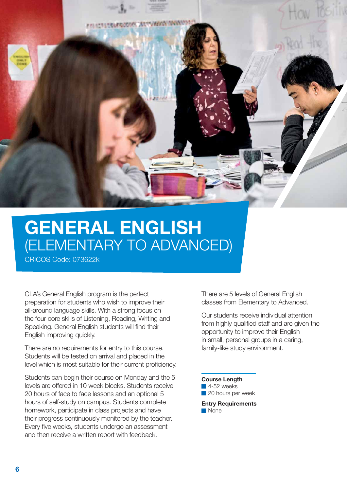

# **GENERAL ENGLISH**  (ELEMENTARY TO ADVANCED)

CRICOS Code: 073622k

CLA's General English program is the perfect preparation for students who wish to improve their all-around language skills. With a strong focus on the four core skills of Listening, Reading, Writing and Speaking. General English students will find their English improving quickly.

There are no requirements for entry to this course. Students will be tested on arrival and placed in the level which is most suitable for their current proficiency.

Students can begin their course on Monday and the 5 levels are offered in 10 week blocks. Students receive 20 hours of face to face lessons and an optional 5 hours of self-study on campus. Students complete homework, participate in class projects and have their progress continuously monitored by the teacher. Every five weeks, students undergo an assessment and then receive a written report with feedback.

There are 5 levels of General English classes from Elementary to Advanced.

Our students receive individual attention from highly qualified staff and are given the opportunity to improve their English in small, personal groups in a caring, family-like study environment.

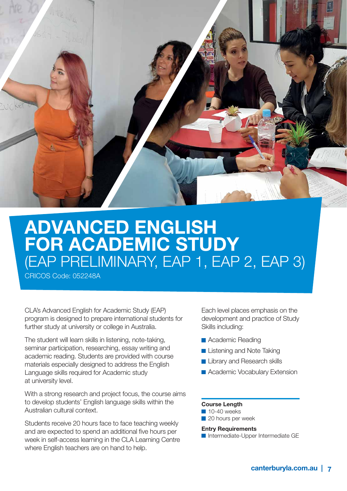

# **ADVANCED ENGLISH FOR ACADEMIC STUDY**  (EAP PRELIMINARY, EAP 1, EAP 2, EAP 3)

CRICOS Code: 052248A

CLA's Advanced English for Academic Study (EAP) program is designed to prepare international students for further study at university or college in Australia.

The student will learn skills in listening, note-taking, seminar participation, researching, essay writing and academic reading. Students are provided with course materials especially designed to address the English Language skills required for Academic study at university level.

With a strong research and project focus, the course aims to develop students' English language skills within the Australian cultural context.

Students receive 20 hours face to face teaching weekly and are expected to spend an additional five hours per week in self-access learning in the CLA Learning Centre where English teachers are on hand to help.

Each level places emphasis on the development and practice of Study Skills including:

- Academic Reading
- **Listening and Note Taking**
- **Library and Research skills**
- **Academic Vocabulary Extension**

### **Course Length**

 $10-40$  weeks 20 hours per week

**Entry Requirements**

**Intermediate-Upper Intermediate GE**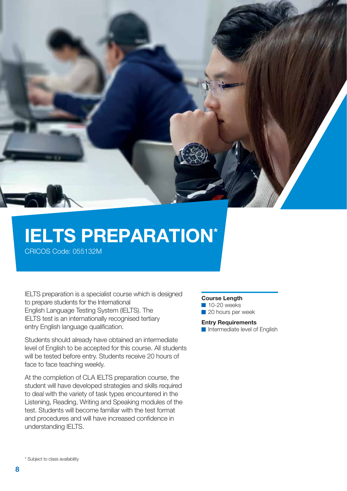

# **IELTS PREPARATION\***

CRICOS Code: 055132M

IELTS preparation is a specialist course which is designed to prepare students for the International English Language Testing System (IELTS). The IELTS test is an internationally recognised tertiary entry English language qualification.

Students should already have obtained an intermediate level of English to be accepted for this course. All students will be tested before entry. Students receive 20 hours of face to face teaching weekly.

At the completion of CLA IELTS preparation course, the student will have developed strategies and skills required to deal with the variety of task types encountered in the Listening, Reading, Writing and Speaking modules of the test. Students will become familiar with the test format and procedures and will have increased confidence in understanding IELTS.



**Intermediate level of English** 

\* Subject to class availability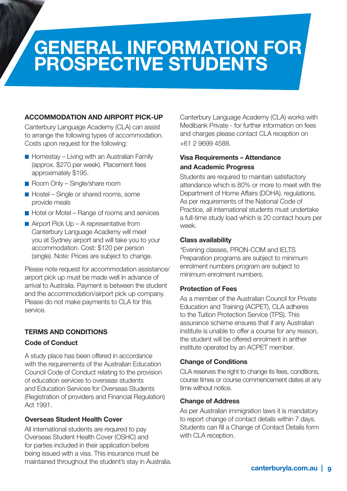# **GENERAL INFORMATION FOR PROSPECTIVE STUDENTS**

### **ACCOMMODATION AND AIRPORT PICK-UP**

Canterbury Language Academy (CLA) can assist to arrange the following types of accommodation. Costs upon request for the following:

- $\blacksquare$  Homestay Living with an Australian Family (approx. \$270 per week). Placement fees approximately \$195.
- Room Only Single/share room
- Hostel Single or shared rooms, some provide meals
- $\blacksquare$  Hotel or Motel Range of rooms and services
- $\blacksquare$  Airport Pick Up A representative from Canterbury Language Academy will meet you at Sydney airport and will take you to your accommodation. Cost: \$120 per person (single). Note: Prices are subject to change.

Please note request for accommodation assistance/ airport pick up must be made well in advance of arrival to Australia. Payment is between the student and the accommodation/airport pick up company. Please do not make payments to CLA for this service.

### **TERMS AND CONDITIONS**

### **Code of Conduct**

A study place has been offered in accordance with the requirements of the Australian Education Council Code of Conduct relating to the provision of education services to overseas students and Education Services for Overseas Students (Registration of providers and Financial Regulation) Act 1991.

### **Overseas Student Health Cover**

All international students are required to pay Overseas Student Health Cover (OSHC) and for parties included in their application before being issued with a visa. This insurance must be maintained throughout the student's stay in Australia. Canterbury Language Academy (CLA) works with Medibank Private - for further information on fees and charges please contact CLA reception on +61 2 9699 4588.

### **Visa Requirements – Attendance and Academic Progress**

Students are required to maintain satisfactory attendance which is 80% or more to meet with the Department of Home Affairs (DOHA). regulations. As per requirements of the National Code of Practice, all international students must undertake a full-time study load which is 20 contact hours per week.

### **Class availability**

\*Evening classes, PRON-COM and IELTS Preparation programs are subject to minimum enrolment numbers program are subject to minimum enrolment numbers.

### **Protection of Fees**

As a member of the Australian Council for Private Education and Training (ACPET), CLA adheres to the Tuition Protection Service (TPS). This assurance scheme ensures that if any Australian institute is unable to offer a course for any reason, the student will be offered enrolment in anther institute operated by an ACPET member.

### **Change of Conditions**

CLA reserves the right to change its fees, conditions, course times or course commencement dates at any time without notice.

#### **Change of Address**

As per Australian immigration laws it is mandatory to report change of contact details within 7 days. Students can fill a Change of Contact Details form with CLA reception.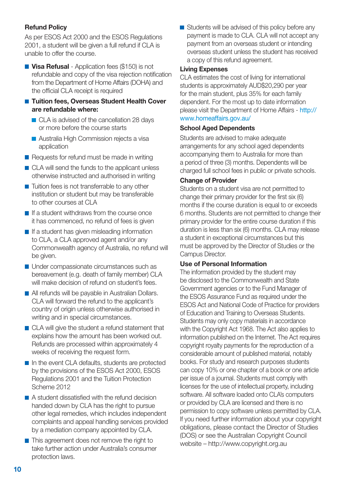### **Refund Policy**

As per ESOS Act 2000 and the ESOS Regulations 2001, a student will be given a full refund if CLA is unable to offer the course.

**Visa Refusal** - Application fees (\$150) is not refundable and copy of the visa rejection notification from the Department of Home Affairs (DOHA) and the official CLA receipt is required

#### ■ Tuition fees, Overseas Student Health Cover **are refundable where:**

- CLA is advised of the cancellation 28 days or more before the course starts
- **Australia High Commission rejects a visa** application
- Requests for refund must be made in writing
- CLA will send the funds to the applicant unless otherwise instructed and authorised in writing
- $\blacksquare$  Tuition fees is not transferrable to any other institution or student but may be transferable to other courses at CLA
- If a student withdraws from the course once it has commenced, no refund of fees is given
- **If a student has given misleading information** to CLA, a CLA approved agent and/or any Commonwealth agency of Australia, no refund will be given.
- **Under compassionate circumstances such as** bereavement (e.g. death of family member) CLA will make decision of refund on student's fees.
- All refunds will be payable in Australian Dollars. CLA will forward the refund to the applicant's country of origin unless otherwise authorised in writing and in special circumstances.
- CLA will give the student a refund statement that explains how the amount has been worked out. Refunds are processed within approximately 4 weeks of receiving the request form.
- In the event CLA defaults, students are protected by the provisions of the ESOS Act 2000, ESOS Regulations 2001 and the Tuition Protection Scheme 2012
- $\blacksquare$  A student dissatisfied with the refund decision handed down by CLA has the right to pursue other legal remedies, which includes independent complaints and appeal handling services provided by a mediation company appointed by CLA.
- This agreement does not remove the right to take further action under Australia's consumer protection laws.

Students will be advised of this policy before any payment is made to CLA. CLA will not accept any payment from an overseas student or intending overseas student unless the student has received a copy of this refund agreement.

#### **Living Expenses**

CLA estimates the cost of living for international students is approximately AUD\$20,290 per year for the main student, plus 35% for each family dependent. For the most up to date information please visit the Department of Home Affairs - http:// www.homeaffairs.gov.au/

### **School Aged Dependents**

Students are advised to make adequate arrangements for any school aged dependents accompanying them to Australia for more than a period of three (3) months. Dependents will be charged full school fees in public or private schools.

#### **Change of Provider**

Students on a student visa are not permitted to change their primary provider for the first six  $(6)$ months if the course duration is equal to or exceeds 6 months. Students are not permitted to change their primary provider for the entire course duration if this duration is less than six (6) months. CLA may release a student in exceptional circumstances but this must be approved by the Director of Studies or the Campus Director.

### **Use of Personal Information**

The information provided by the student may be disclosed to the Commonwealth and State Government agencies or to the Fund Manager of the ESOS Assurance Fund as required under the ESOS Act and National Code of Practice for providers of Education and Training to Overseas Students. Students may only copy materials in accordance with the Copyright Act 1968. The Act also applies to information published on the Internet. The Act requires copyright royalty payments for the reproduction of a considerable amount of published material, notably books. For study and research purposes students can copy 10% or one chapter of a book or one article per issue of a journal. Students must comply with licenses for the use of intellectual property, including software. All software loaded onto CLA's computers or provided by CLA are licensed and there is no permission to copy software unless permitted by CLA. If you need further information about your copyright obligations, please contact the Director of Studies (DOS) or see the Australian Copyright Council website – http://www.copyright.org.au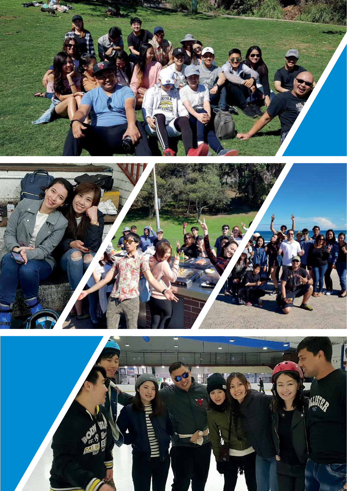